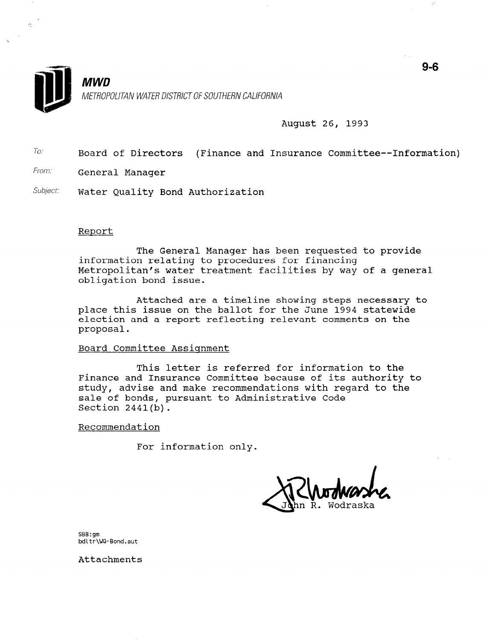

ç.

**MWD** METROPOLITAN WATER DISTRICT OF SOUTHERN CALIFORNIA

#### August 26, 1993

- $T_0$ : Board of Directors (Finance and Insurance Committee--Information)
- From: General Manager
- Subject: Water Quality Bond Authorization

#### Report

The General Manager has been requested to provide information relating to procedures for financing Metropolitan's water treatment facilities by way of a general obligation bond issue.

Attached are a timeline showing steps necessary to place this issue on the ballot for the June 1994 statewide election and a report reflecting relevant comments on the proposal.

#### Board Committee Assignment

This letter is referred for information to the Finance and Insurance Committee because of its authority to study, advise and make recommendations with regard to the sale of bonds, pursuant to Administrative Code Section 2441(b).

#### Recommendation

For information only.

SBB:gm bdLtr\WQ-Bond.aut

Attachments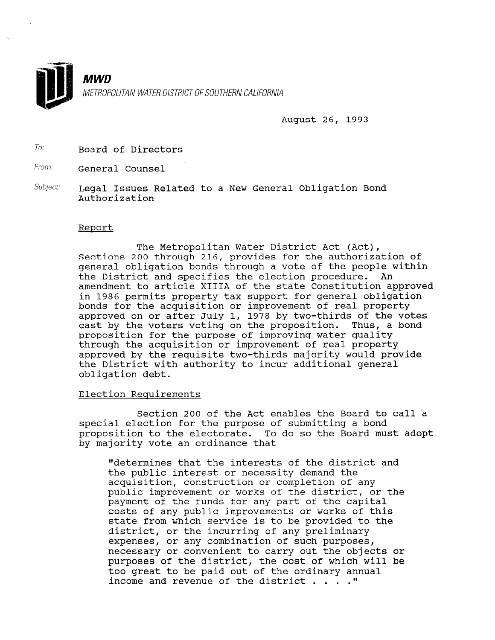

August 26, 1993

To: Board of Directors

From: **General Counsel** 

Subject: Legal Issues Related to a New General Obligation Bond Authorization

#### Report

The Metropolitan Water District Act (Act), Sections 200 through 216, provides for the authorization of general obligation bonds through a vote of the people within the District and specifies the election procedure. An amendment to article XIIIA of the state Constitution approved in 1986 permits property tax support for general obligation bonds for the acquisition or improvement of real property approved on or after July 1, 1978 by two-thirds of the votes cast by the voters voting on the proposition. Thus, a bond proposition for the purpose of improving water quality through the acquisition or improvement of real property approved by the requisite two-thirds majority would provide the District with authority to incur additional general obligation debt.

#### Election Requirements

Section 200 of the Act enables the Board to call a special election for the purpose of submitting a bond proposition to the electorate. To do so the Board must adopt broposition to the electorate. I

"determines that the interests of the district and the public interest or necessity demand the che public interest or necessity demand the<br>completion, construction or completion of any acquisition, construction or completion of any public improvement or works of the district, or the payment of the funds for any part of the capital costs of any public improvements or works of this state from which service is to be provided to the district, or the incurring of any preliminary expenses, or any combination of such purposes, necessary or convenient to carry out the objects or purposes of the district, the cost of which will be too great to be paid out of the ordinary annual income and revenue of the district  $\ldots$ ."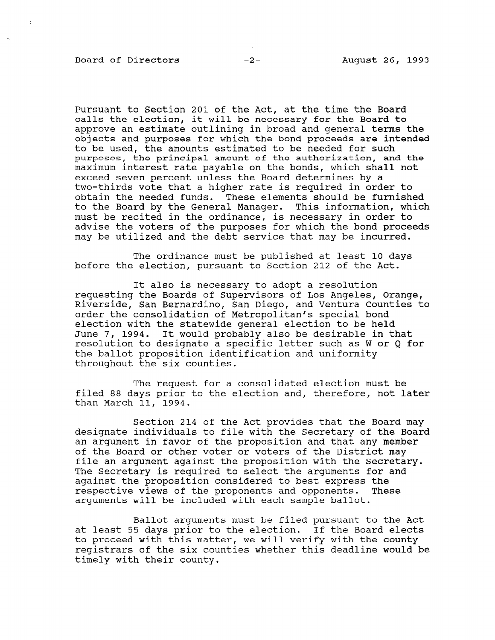#### Board of Directors -2- August 26, 1993

 $\hat{\boldsymbol{\theta}}$ 

Pursuant to Section 201 of the Act, at the time the Board calls the election, it will be necessary for the Board to approve an estimate outlining in broad and general terms the objects and purposes for which the bond proceeds are intended to be used, the amounts estimated to be needed for such purposes, the principal amount of the authorization, and the maximum interest rate payable on the bonds, which shall not exceed seven percent unless the Board determines by a two-thirds vote that a higher rate is required in order to obtain the needed funds. These elements should be furnished to the Board by the General Manager. This information, which must be recited in the ordinance, is necessary in order to advise the voters of the purposes for which the bond proceeds may be utilized and the debt service that may be incurred.

The ordinance must be published at least 10 days before the election, pursuant to Section 212 of the Act.

It also is necessary to adopt a resolution requesting the Boards of Supervisors of Los Angeles, Orange, Riverside, San Bernardino, San Diego, and Ventura Counties to order the consolidation of Metropolitan's special bond election with the statewide general election to be held June 7, 1994. It would probably also be desirable in that resolution to designate a specific letter such as W or Q for the ballot proposition identification and uniformity throughout the six counties.

The request for a consolidated election must be filed 88 days prior to the election and, therefore, not later than March 11, 1994.

Section 214 of the Act provides that the Board may designate individuals to file with the Secretary of the Board an argument in favor of the proposition and that any member of the Board or other voter or voters of the District may file an argument against the proposition with the Secretary. file an argument against the proposition with the Secretary.<br>The Secretary is required to select the arguments for and The secretary is required to serect the arguments for dydinst the proposition considered to best express the respective views of the proponents and opponents. '<br>arguments will be included with each sample ballot.

Ballot arguments must be filed pursuant to the Act ballot arguments must be lifed pursuant to the Ad at least 55 days prior to the election. If the Board elects to proceed with this matter, we will verify with the county registrars of the six counties whether this deadline would be timely with their county.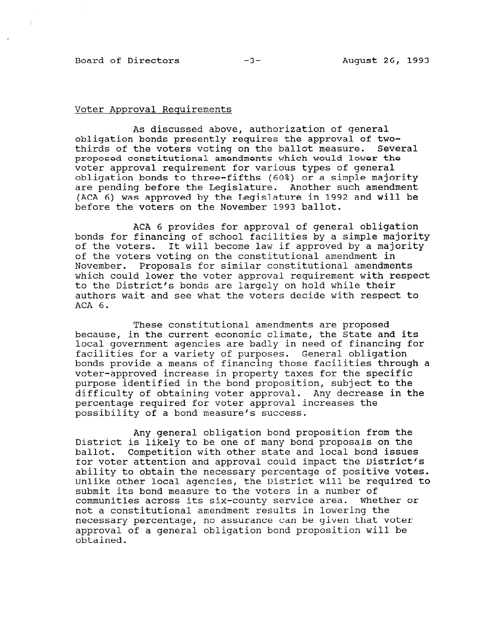#### Board of Directors -3- August 26, 1993

 $\bar{\star}$ 

#### Voter Approval Requirements

As discussed above, authorization of general obligation bonds presently requires the approval of twothirds of the voters voting on the ballot measure. Several proposed constitutional amendments which would lower the voter approval requirement for various types of general obligation bonds to three-fifths (60%) or a simple majority are pending before the Legislature. Another such amendment (ACA 6) was approved by the Legislature in 1992 and will be before the voters on the November 1993 ballot.

ACA 6 provides for approval of general obligation bonds for financing of school facilities by a simple majority of the voters. It will become law if approved by a majority of the voters voting on the constitutional amendment in November. Proposals for similar constitutional amendments which could lower the voter approval requirement with respect to the District's bonds are largely on hold while their authors wait and see what the voters decide with respect to ACA 6.

These constitutional amendments are proposed because, in the current economic climate, the State and its local government agencies are badly in need of financing for facilities for a variety of purposes. Ceneral obligation bonds provide a means of financing those facilities through a voter-approved increase in property taxes for the specific purpose identified in the bond proposition, subject to the difficulty of obtaining voter approval. Any decrease in the percentage required for voter approval increases the possibility of a bond measure's success.

Any general obligation bond proposition from the District is likely to be one of many bond proposals on the ballot. Competition with other state and local bond issues for voter attention and approval could impact the District's ability to obtain the necessary percentage of positive votes. Unlike other local agencies, the District will be required to submit its bond measure to the voters in a number of submit its bond measure to the voters in a number of<br>communities causes its six-county service area. Whether ar communities across its six-county service area. Whether or not a constitutional amendment results in lowering the not a constitutional amendment results in lowering the necessary percentage, no assurance can be given that youe approval of a general obligation bond proposition will be obtained.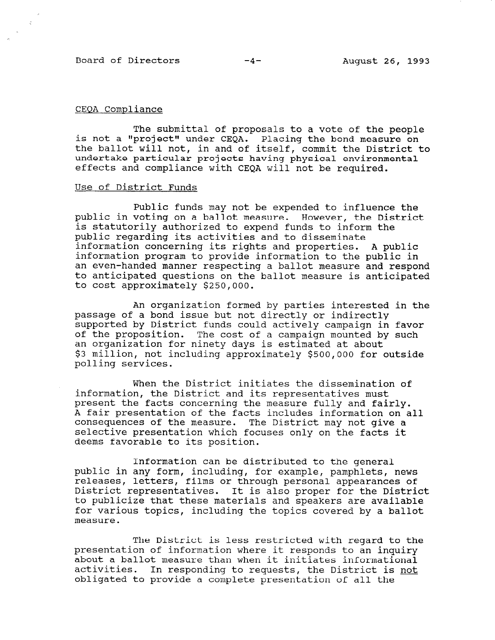Board of Directors -4- August 26, 1993

 $\mathcal{L}$ 

### CEQA Compliance

The submittal of proposals to a vote of the people is not a "project" under CEQA. Placing the bond measure on the ballot will not, in and of itself, commit the District to undertake particular projects having physical environmental effects and compliance with CEQA will not be required.

#### Use of District Funds

Public funds may not be expended to influence the public in voting on a ballot measure. However, the District is statutorily authorized to expend funds to inform the public regarding its activities and to disseminate information concerning its rights and properties. A public information program to provide information to the public in an even-handed manner respecting a ballot measure and respond to anticipated questions on the ballot measure is anticipated to cost approximately \$250,000.

An organization formed by parties interested in the passage of a bond issue but not directly or indirectly supported by District funds could actively campaign in favor of the proposition. The cost of a campaign mounted by such an organization for ninety days is estimated at about \$3 million, not including approximately \$500,000 for outside polling services.

When the District initiates the dissemination of information, the District and its representatives must present the facts concerning the measure fully and fairly. A fair presentation of the facts includes information on all consequences of the measure. The District may not give a selective presentation which focuses only on the facts it deems favorable to its position.

Information can be distributed to the general public in any form, including, for example, pamphlets, news releases, letters, films or through personal appearances of District representatives. It is also proper for the District to publicize that these materials and speakers are available<br>to publicize that these materials and speakers are available to publicize that these materials and speakers are available for various topics, including the topics covered by a ballot measure.

The District is less restricted with regard to the presentation of information of information where it responses to an inquiry  $\epsilon$  in  $\epsilon$  and  $\epsilon$  and  $\epsilon$  and  $\epsilon$  and  $\epsilon$  and  $\epsilon$  and  $\epsilon$  and  $\epsilon$  and  $\epsilon$  and  $\epsilon$  and  $\epsilon$  and  $\epsilon$  and  $\epsilon$  and  $\epsilon$  and  $\epsilon$  and  $\epsilon$ presentation of information where it responds to an inquiry about a ballot measure than when it initiates informational activities. In responding to requests, the District is not<br>obligated to provide a complete presentation of all the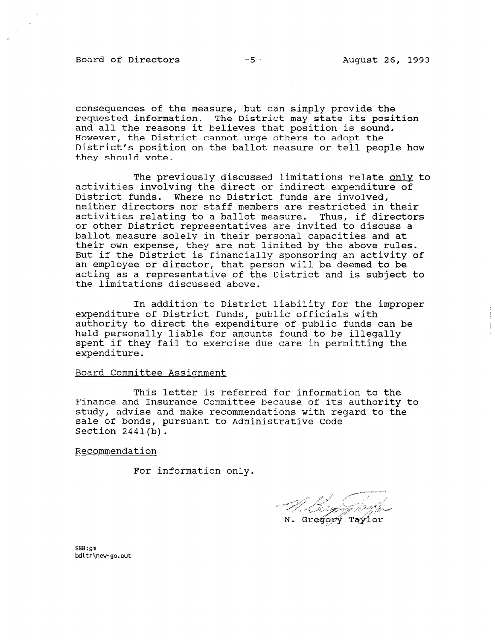Board of Directors -5- August 26, 1993

consequences of the measure, but can simply provide the requested information. The District may state its position and all the reasons it believes that position is sound. However, the District cannot urge others to adopt the District's position on the ballot measure or tell people how they should vote.

The previously discussed limitations relate onlv to activities involving the direct or indirect expenditure of District funds. Where no District funds are involved, neither directors nor staff members are restricted in their activities relating to a ballot measure. Thus, if directors or other District representatives are invited to discuss a ballot measure solely in their personal capacities and at their own expense, they are not limited by the above rules. But if the District is financially sponsoring an activity of an employee or director, that person will be deemed to be acting as a representative of the District and is subject to the limitations discussed above.

In addition to District liability for the improper expenditure of District funds, public officials with authority to direct the expenditure of public funds can be held personally liable for amounts found to be illegally spent if they fail to exercise due care in permitting the expenditure.

#### Board Committee Assiqnment

This letter is referred for information to the Finance and Insurance Committee because of its authority to study, advise and make recommendations with regard to the sale of bonds, pursuant to Administrative Code Section 2441(b).

Recommendation

For information only.

 $N.$  Gregory Taylor

bb:9M